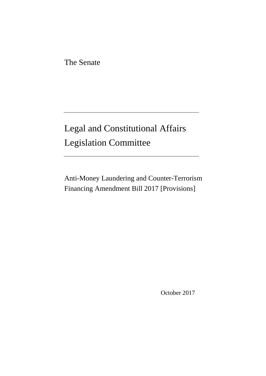The Senate

# Legal and Constitutional Affairs Legislation Committee

Anti-Money Laundering and Counter-Terrorism Financing Amendment Bill 2017 [Provisions]

October 2017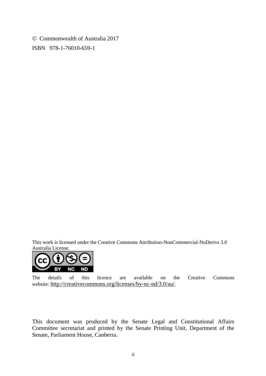Commonwealth of Australia 2017 ISBN 978-1-76010-659-1

This work is licensed under the Creative Commons Attribution-NonCommercial-NoDerivs 3.0 Australia License.



The details of this licence are available on the Creative Commons website: [http://creativecommons.org/licenses/by-nc-nd/3.0/au/.](http://creativecommons.org/licenses/by-nc-nd/3.0/au/)

This document was produced by the Senate Legal and Constitutional Affairs Committee secretariat and printed by the Senate Printing Unit, Department of the Senate, Parliament House, Canberra.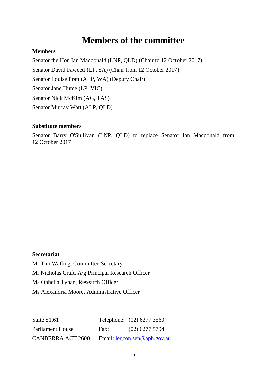### **Members of the committee**

#### **Members**

Senator the Hon Ian Macdonald (LNP, QLD) (Chair to 12 October 2017) Senator David Fawcett (LP, SA) (Chair from 12 October 2017) Senator Louise Pratt (ALP, WA) (Deputy Chair) Senator Jane Hume (LP, VIC) Senator Nick McKim (AG, TAS) Senator Murray Watt (ALP, QLD)

#### **Substitute members**

Senator Barry O'Sullivan (LNP, QLD) to replace Senator Ian Macdonald from 12 October 2017

#### **Secretariat**

Mr Tim Watling, Committee Secretary Mr Nicholas Craft, A/g Principal Research Officer Ms Ophelia Tynan, Research Officer Ms Alexandria Moore, Administrative Officer

Suite S1.61 Telephone: (02) 6277 3560 Parliament House Fax: (02) 6277 5794 CANBERRA ACT 2600 Email: [legcon.sen@aph.gov.au](mailto:legcon.sen@aph.gov.au)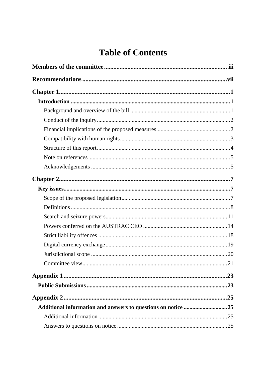## **Table of Contents**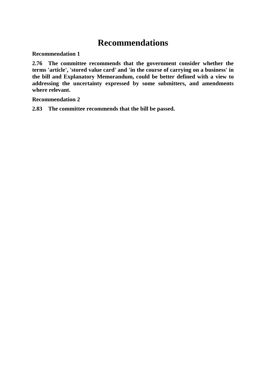## **Recommendations**

**Recommendation 1**

**2.76 The committee recommends that the government consider whether the terms 'article', 'stored value card' and 'in the course of carrying on a business' in the bill and Explanatory Memorandum, could be better defined with a view to addressing the uncertainty expressed by some submitters, and amendments where relevant.**

**Recommendation 2**

**2.83 The committee recommends that the bill be passed.**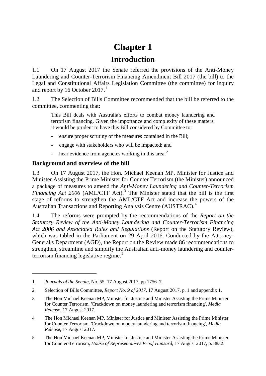## **Chapter 1**

### **Introduction**

1.1 On 17 August 2017 the Senate referred the provisions of the Anti-Money Laundering and Counter-Terrorism Financing Amendment Bill 2017 (the bill) to the Legal and Constitutional Affairs Legislation Committee (the committee) for inquiry and report by [1](#page-8-0)6 October  $2017<sup>1</sup>$ 

1.2 The Selection of Bills Committee recommended that the bill be referred to the committee, commenting that:

This Bill deals with Australia's efforts to combat money laundering and terrorism financing. Given the importance and complexity of these matters, it would be prudent to have this Bill considered by Committee to:

- ensure proper scrutiny of the measures contained in the Bill;
- engage with stakeholders who will be impacted; and
- hear evidence from agencies working in this area.<sup>[2](#page-8-1)</sup>

#### **Background and overview of the bill**

1.3 On 17 August 2017, the Hon. Michael Keenan MP, Minister for Justice and Minister Assisting the Prime Minister for Counter Terrorism (the Minister) announced a package of measures to amend the *Anti-Money Laundering and Counter-Terrorism Financing Act 2006 (AML/CTF Act).*<sup>[3](#page-8-2)</sup> The Minister stated that the bill is the first stage of reforms to strengthen the AML/CTF Act and increase the powers of the Australian Transactions and Reporting Analysis Centre (AUSTRAC).[4](#page-8-3)

1.4 The reforms were prompted by the recommendations of the *Report on the Statutory Review of the Anti-Money Laundering and Counter-Terrorism Financing Act 2006 and Associated Rules and Regulations* (Report on the Statutory Review), which was tabled in the Parliament on 29 April 2016. Conducted by the Attorney-General's Department (AGD), the Report on the Review made 86 recommendations to strengthen, streamline and simplify the Australian anti-money laundering and counterterrorism financing legislative regime. [5](#page-8-4)

<span id="page-8-0"></span><sup>1</sup> *Journals of the Senate*, No. 55, 17 August 2017, pp 1756–7.

<span id="page-8-1"></span><sup>2</sup> Selection of Bills Committee, *Report No. 9 of 2017*, 17 August 2017, p. 1 and appendix 1.

<span id="page-8-2"></span><sup>3</sup> The Hon Michael Keenan MP, Minister for Justice and Minister Assisting the Prime Minister for Counter Terrorism, 'Crackdown on money laundering and terrorism financing', *Media Release*, 17 August 2017.

<span id="page-8-3"></span><sup>4</sup> The Hon Michael Keenan MP, Minister for Justice and Minister Assisting the Prime Minister for Counter Terrorism, 'Crackdown on money laundering and terrorism financing', *Media Release*, 17 August 2017.

<span id="page-8-4"></span><sup>5</sup> The Hon Michael Keenan MP, Minister for Justice and Minister Assisting the Prime Minister for Counter-Terrorism, *House of Representatives Proof Hansard*, 17 August 2017, p. 8832.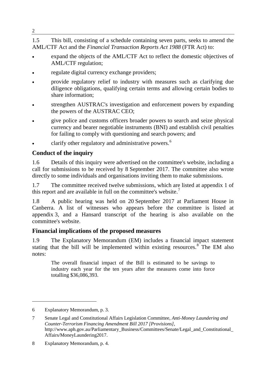#### 1.5 This bill, consisting of a schedule containing seven parts, seeks to amend the AML/CTF Act and the *Financial Transaction Reports Act 1988* (FTR Act) to:

- expand the objects of the AML/CTF Act to reflect the domestic objectives of AML/CTF regulation;
- regulate digital currency exchange providers;
- provide regulatory relief to industry with measures such as clarifying due diligence obligations, qualifying certain terms and allowing certain bodies to share information;
- strengthen AUSTRAC's investigation and enforcement powers by expanding the powers of the AUSTRAC CEO;
- give police and customs officers broader powers to search and seize physical currency and bearer negotiable instruments (BNI) and establish civil penalties for failing to comply with questioning and search powers; and
- clarify other regulatory and administrative powers.<sup>[6](#page-9-0)</sup>

### **Conduct of the inquiry**

1.6 Details of this inquiry were advertised on the committee's website, including a call for submissions to be received by 8 September 2017. The committee also wrote directly to some individuals and organisations inviting them to make submissions.

1.7 The committee received twelve submissions, which are listed at appendix 1 of this report and are available in full on the committee's website.<sup>[7](#page-9-1)</sup>

1.8 A public hearing was held on 20 September 2017 at Parliament House in Canberra. A list of witnesses who appears before the committee is listed at appendix 3, and a Hansard transcript of the hearing is also available on the committee's website.

### **Financial implications of the proposed measures**

1.9 The Explanatory Memorandum (EM) includes a financial impact statement stating that the bill will be implemented within existing resources. $8^{\circ}$  $8^{\circ}$  The EM also notes:

The overall financial impact of the Bill is estimated to be savings to industry each year for the ten years after the measures come into force totalling \$36,086,393.

-

2

<span id="page-9-0"></span><sup>6</sup> Explanatory Memorandum, p. 3.

<span id="page-9-1"></span><sup>7</sup> Senate Legal and Constitutional Affairs Legislation Committee, *Anti-Money Laundering and Counter-Terrorism Financing Amendment Bill 2017 [Provisions]*, http://www.aph.gov.au/Parliamentary\_Business/Committees/Senate/Legal\_and\_Constitutional\_ Affairs/MoneyLaundering2017.

<span id="page-9-2"></span><sup>8</sup> Explanatory Memorandum, p. 4.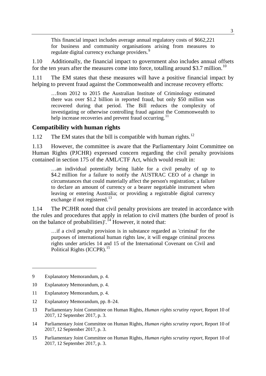This financial impact includes average annual regulatory costs of \$662,221 for business and community organisations arising from measures to regulate digital currency exchange providers.<sup>[9](#page-10-0)</sup>

1.10 Additionally, the financial impact to government also includes annual offsets for the ten years after the measures come into force, totalling around \$3.7 million.<sup>[10](#page-10-1)</sup>

1.11 The EM states that these measures will have a positive financial impact by helping to prevent fraud against the Commonwealth and increase recovery efforts:

…from 2012 to 2015 the Australian Institute of Criminology estimated there was over \$1.2 billion in reported fraud, but only \$50 million was recovered during that period. The Bill reduces the complexity of investigating or otherwise controlling fraud against the Commonwealth to help increase recoveries and prevent fraud occurring.<sup>[11](#page-10-2)</sup>

#### **Compatibility with human rights**

1.[12](#page-10-3) The EM states that the bill is compatible with human rights.<sup>12</sup>

1.13 However, the committee is aware that the Parliamentary Joint Committee on Human Rights (PJCHR) expressed concern regarding the civil penalty provisions contained in section 175 of the AML/CTF Act, which would result in:

…an individual potentially being liable for a civil penalty of up to \$4.2 million for a failure to notify the AUSTRAC CEO of a change in circumstances that could materially affect the person's registration; a failure to declare an amount of currency or a bearer negotiable instrument when leaving or entering Australia; or providing a registrable digital currency exchange if not registered.<sup>[13](#page-10-4)</sup>

1.14 The PCJHR noted that civil penalty provisions are treated in accordance with the rules and procedures that apply in relation to civil matters (the burden of proof is on the balance of probabilities)<sup>". [14](#page-10-5)</sup> However, it noted that:

…if a civil penalty provision is in substance regarded as 'criminal' for the purposes of international human rights law, it will engage criminal process rights under articles 14 and 15 of the International Covenant on Civil and Political Rights (ICCPR).<sup>[15](#page-10-6)</sup>

<span id="page-10-0"></span><sup>9</sup> Explanatory Memorandum, p. 4.

<span id="page-10-1"></span><sup>10</sup> Explanatory Memorandum, p. 4.

<span id="page-10-2"></span><sup>11</sup> Explanatory Memorandum, p. 4.

<span id="page-10-3"></span><sup>12</sup> Explanatory Memorandum, pp. 8–24.

<span id="page-10-4"></span><sup>13</sup> Parliamentary Joint Committee on Human Rights, *Human rights scrutiny report,* Report 10 of 2017, 12 September 2017, p. 3.

<span id="page-10-5"></span><sup>14</sup> Parliamentary Joint Committee on Human Rights, *Human rights scrutiny report,* Report 10 of 2017, 12 September 2017, p. 3.

<span id="page-10-6"></span><sup>15</sup> Parliamentary Joint Committee on Human Rights, *Human rights scrutiny report,* Report 10 of 2017, 12 September 2017, p. 3.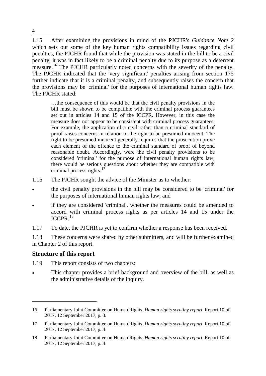1.15 After examining the provisions in mind of the PJCHR's *Guidance Note 2* which sets out some of the key human rights compatibility issues regarding civil penalties, the PJCHR found that while the provision was stated in the bill to be a civil penalty, it was in fact likely to be a criminal penalty due to its purpose as a deterrent measure.<sup>[16](#page-11-0)</sup> The PJCHR particularly noted concerns with the severity of the penalty. The PJCHR indicated that the 'very significant' penalties arising from section 175 further indicate that it is a criminal penalty, and subsequently raises the concern that the provisions may be 'criminal' for the purposes of international human rights law. The PJCHR stated:

…the consequence of this would be that the civil penalty provisions in the bill must be shown to be compatible with the criminal process guarantees set out in articles 14 and 15 of the ICCPR. However, in this case the measure does not appear to be consistent with criminal process guarantees. For example, the application of a civil rather than a criminal standard of proof raises concerns in relation to the right to be presumed innocent. The right to be presumed innocent generally requires that the prosecution prove each element of the offence to the criminal standard of proof of beyond reasonable doubt. Accordingly, were the civil penalty provisions to be considered 'criminal' for the purpose of international human rights law, there would be serious questions about whether they are compatible with criminal process rights. $17$ 

- 1.16 The PJCHR sought the advice of the Minister as to whether:
- the civil penalty provisions in the bill may be considered to be 'criminal' for the purposes of international human rights law; and
- if they are considered 'criminal', whether the measures could be amended to accord with criminal process rights as per articles 14 and 15 under the  $ICCPR$ <sup>[18](#page-11-2)</sup>
- 1.17 To date, the PJCHR is yet to confirm whether a response has been received.

1.18 These concerns were shared by other submitters, and will be further examined in Chapter 2 of this report.

#### **Structure of this report**

-

1.19 This report consists of two chapters:

This chapter provides a brief background and overview of the bill, as well as the administrative details of the inquiry.

<span id="page-11-0"></span><sup>16</sup> Parliamentary Joint Committee on Human Rights, *Human rights scrutiny report,* Report 10 of 2017, 12 September 2017, p. 3.

<span id="page-11-1"></span><sup>17</sup> Parliamentary Joint Committee on Human Rights, *Human rights scrutiny report,* Report 10 of 2017, 12 September 2017, p. 4

<span id="page-11-2"></span><sup>18</sup> Parliamentary Joint Committee on Human Rights, *Human rights scrutiny report,* Report 10 of 2017, 12 September 2017, p. 4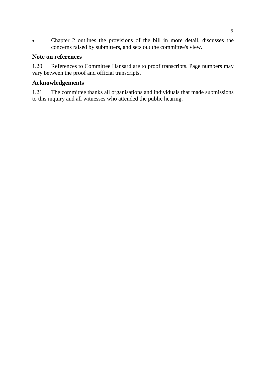• Chapter 2 outlines the provisions of the bill in more detail, discusses the concerns raised by submitters, and sets out the committee's view.

#### **Note on references**

1.20 References to Committee Hansard are to proof transcripts. Page numbers may vary between the proof and official transcripts.

#### **Acknowledgements**

1.21 The committee thanks all organisations and individuals that made submissions to this inquiry and all witnesses who attended the public hearing.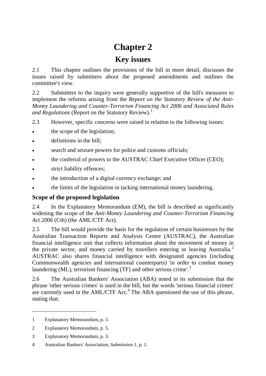## **Chapter 2**

### **Key issues**

2.1 This chapter outlines the provisions of the bill in more detail, discusses the issues raised by submitters about the proposed amendments and outlines the committee's view.

2.2 Submitters to the inquiry were generally supportive of the bill's measures to implement the reforms arising from the *Report on the Statutory Review of the Anti-Money Laundering and Counter-Terrorism Financing Act 2006 and Associated Rules and Regulations* (Report on the Statutory Review). [1](#page-14-0)

2.3 However, specific concerns were raised in relation to the following issues:

- the scope of the legislation;
- definitions in the bill;
- search and seizure powers for police and customs officials;
- the conferral of powers to the AUSTRAC Chief Executive Officer (CEO);
- strict liability offences;
- the introduction of a digital currency exchange; and
- the limits of the legislation in tacking international money laundering.

#### **Scope of the proposed legislation**

2.4 In the Explanatory Memorandum (EM), the bill is described as significantly widening the scope of the *Anti-Money Laundering and Counter-Terrorism Financing Act 2006* (Cth) (the AML/CTF Act).

2.5 The bill would provide the basis for the regulation of certain businesses by the Australian Transaction Reports and Analysis Centre (AUSTRAC), the Australian financial intelligence unit that collects information about the movement of money in the private sector, and money carried by travellers entering or leaving Australia.<sup>[2](#page-14-1)</sup> AUSTRAC also shares financial intelligence with designated agencies (including Commonwealth agencies and international counterparts) 'in order to combat money laundering (ML), terrorism financing (TF) and other serious crime'.<sup>[3](#page-14-2)</sup>

2.6 The Australian Bankers' Association (ABA) noted in its submission that the phrase 'other serious crimes' is used in the bill, but the words 'serious financial crimes' are currently used in the  $AML/CTF$  Act.<sup>[4](#page-14-3)</sup> The ABA questioned the use of this phrase, stating that:

<span id="page-14-0"></span><sup>1</sup> Explanatory Memorandum, p. 3.

<span id="page-14-1"></span><sup>2</sup> Explanatory Memorandum, p. 5.

<span id="page-14-2"></span><sup>3</sup> Explanatory Memorandum, p. 3.

<span id="page-14-3"></span><sup>4</sup> Australian Bankers' Association, *Submission 1*, p. 1.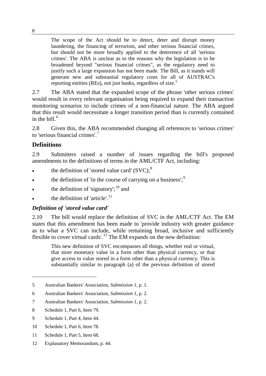The scope of the Act should be to detect, deter and disrupt money laundering, the financing of terrorism, and other serious financial crimes, but should not be more broadly applied to the deterrence of all 'serious crimes'. The ABA is unclear as to the reasons why the legislation is to be broadened beyond "serious financial crimes", as the regulatory need to justify such a large expansion has not been made. The Bill, as it stands will generate new and substantial regulatory costs for all of AUSTRAC's reporting entities (REs), not just banks, regardless of size.<sup>[5](#page-15-0)</sup>

2.7 The ABA stated that the expanded scope of the phrase 'other serious crimes' would result in every relevant organisation being required to expand their transaction monitoring scenarios to include crimes of a non-financial nature. The ABA argued that this result would necessitate a longer transition period than is currently contained in the bill. $6$ 

2.8 Given this, the ABA recommended changing all references to 'serious crimes' to 'serious financial crimes'. [7](#page-15-2)

#### **Definitions**

2.9 Submitters raised a number of issues regarding the bill's proposed amendments to the definitions of terms in the AML/CTF Act, including:

- the definition of 'stored value card'  $(SVC)$ ;<sup>[8](#page-15-3)</sup>
- the definition of 'in the course of carrying on a business';<sup>[9](#page-15-4)</sup>
- the definition of 'signatory'; $^{10}$  $^{10}$  $^{10}$  and
- $\bullet$  the definition of 'article'.<sup>[11](#page-15-6)</sup>

#### *Definition of 'stored value card'*

2.10 The bill would replace the definition of SVC in the AML/CTF Act. The EM states that this amendment has been made to 'provide industry with greater guidance as to what a SVC can include, while remaining broad, inclusive and sufficiently flexible to cover virtual cards'.<sup>[12](#page-15-7)</sup> The EM expands on the new definition:

This new definition of SVC encompasses all things, whether real or virtual, that store monetary value in a form other than physical currency, or that give access to value stored in a form other than a physical currency. This is substantially similar to paragraph (a) of the previous definition of stored

<span id="page-15-0"></span><sup>5</sup> Australian Bankers' Association, *Submission 1*, p. 1.

<span id="page-15-1"></span><sup>6</sup> Australian Bankers' Association, *Submission 1*, p. 2.

<span id="page-15-2"></span><sup>7</sup> Australian Bankers' Association, *Submission 1*, p. 2.

<span id="page-15-3"></span><sup>8</sup> Schedule 1, Part 6, Item 79.

<span id="page-15-4"></span><sup>9</sup> Schedule 1, Part 4, Item 44.

<span id="page-15-5"></span><sup>10</sup> Schedule 1, Part 6, Item 78.

<span id="page-15-6"></span><sup>11</sup> Schedule 1, Part 5, Item 68.

<span id="page-15-7"></span><sup>12</sup> Explanatory Memorandum, p. 44.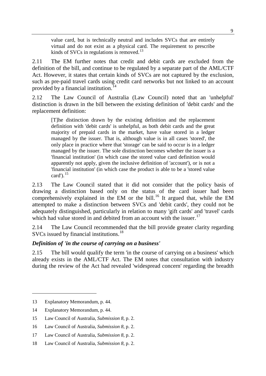value card, but is technically neutral and includes SVCs that are entirely virtual and do not exist as a physical card. The requirement to prescribe kinds of SVCs in regulations is removed.<sup>[13](#page-16-0)</sup>

2.11 The EM further notes that credit and debit cards are excluded from the definition of the bill, and continue to be regulated by a separate part of the AML/CTF Act. However, it states that certain kinds of SVCs are not captured by the exclusion, such as pre-paid travel cards using credit card networks but not linked to an account provided by a financial institution.<sup>[14](#page-16-1)</sup>

2.12 The Law Council of Australia (Law Council) noted that an 'unhelpful' distinction is drawn in the bill between the existing definition of 'debit cards' and the replacement definition:

[T]he distinction drawn by the existing definition and the replacement definition with 'debit cards' is unhelpful, as both debit cards and the great majority of prepaid cards in the market, have value stored in a ledger managed by the issuer. That is, although value is in all cases 'stored', the only place in practice where that 'storage' can be said to occur is in a ledger managed by the issuer. The sole distinction becomes whether the issuer is a 'financial institution' (in which case the stored value card definition would apparently not apply, given the inclusive definition of 'account'), or is not a 'financial institution' (in which case the product is able to be a 'stored value card'). $15$ 

2.13 The Law Council stated that it did not consider that the policy basis of drawing a distinction based only on the status of the card issuer had been comprehensively explained in the EM or the bill.<sup>[16](#page-16-3)</sup> It argued that, while the EM attempted to make a distinction between SVCs and 'debit cards', they could not be adequately distinguished, particularly in relation to many 'gift cards' and 'travel' cards which had value stored in and debited from an account with the issuer.<sup>[17](#page-16-4)</sup>

2.14 The Law Council recommended that the bill provide greater clarity regarding SVCs issued by financial institutions.<sup>[18](#page-16-5)</sup>

#### *Definition of 'in the course of carrying on a business'*

2.15 The bill would qualify the term 'in the course of carrying on a business' which already exists in the AML/CTF Act. The EM notes that consultation with industry during the review of the Act had revealed 'widespread concern' regarding the breadth

<span id="page-16-0"></span><sup>13</sup> Explanatory Memorandum, p. 44.

<span id="page-16-1"></span><sup>14</sup> Explanatory Memorandum, p. 44.

<span id="page-16-2"></span><sup>15</sup> Law Council of Australia, *Submission 8*, p. 2.

<span id="page-16-3"></span><sup>16</sup> Law Council of Australia, *Submission 8*, p. 2.

<span id="page-16-4"></span><sup>17</sup> Law Council of Australia, *Submission 8*, p. 2.

<span id="page-16-5"></span><sup>18</sup> Law Council of Australia, *Submission 8*, p. 2.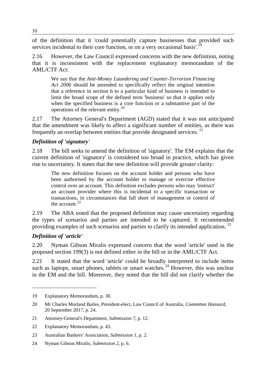of the definition that it 'could potentially capture businesses that provided such services incidental to their core function, or on a very occasional basis'.<sup>[19](#page-17-0)</sup>

2.16 However, the Law Council expressed concerns with the new definition, noting that it is inconsistent with the replacement explanatory memorandum of the AML/CTF Act:

We say that the *Anti-Money Laundering and Counter-Terrorism Financing Act 2006* should be amended to specifically reflect the original intention that a reference in section 6 to a particular kind of business is intended to limit the broad scope of the defined term 'business' so that it applies only when the specified business is a core function or a substantive part of the operations of the relevant entity.[20](#page-17-1)

2.17 The Attorney General's Department (AGD) stated that it was not anticipated that the amendment was likely to affect a significant number of entities, as there was frequently an overlap between entities that provide designated services.<sup>[21](#page-17-2)</sup>

#### *Definition of 'signatory'*

2.18 The bill seeks to amend the definition of 'signatory'. The EM explains that the current definition of 'signatory' is considered too broad in practice, which has given rise to uncertainty. It states that the new definition will provide greater clarity:

The new definition focuses on the account holder and persons who have been authorised by the account holder to manage or exercise effective control over an account. This definition excludes persons who may 'instruct' an account provider where this is incidental to a specific transaction or transactions, in circumstances that fall short of management or control of the account. $22$ 

2.19 The ABA noted that the proposed definition may cause uncertainty regarding the types of scenarios and parties are intended to be captured. It recommended providing examples of such scenarios and parties to clarify its intended application.<sup>[23](#page-17-4)</sup>

#### *Definition of 'article'*

-

2.20 Nyman Gibson Miralis expressed concern that the word 'article' used in the proposed section 199(3) is not defined either in the bill or in the AML/CTF Act.

2.21 It stated that the word 'article' could be broadly interpreted to include items such as laptops, smart phones, tablets or smart watches.<sup>[24](#page-17-5)</sup> However, this was unclear in the EM and the bill. Moreover, they noted that the bill did not clarify whether the

<span id="page-17-0"></span><sup>19</sup> Explanatory Memorandum, p. 30.

<span id="page-17-1"></span><sup>20</sup> Mr Charles Morland Bailes, President-elect, Law Council of Australia, *Committee Hansard*, 20 September 2017, p. 24.

<span id="page-17-2"></span><sup>21</sup> Attorney-General's Department, *Submission 7*, p. 12.

<span id="page-17-3"></span><sup>22</sup> Explanatory Memorandum, p. 43.

<span id="page-17-4"></span><sup>23</sup> Australian Bankers' Association, *Submission 1*, p. 2.

<span id="page-17-5"></span><sup>24</sup> Nyman Gibson Miralis, *Submission 2*, p. 6.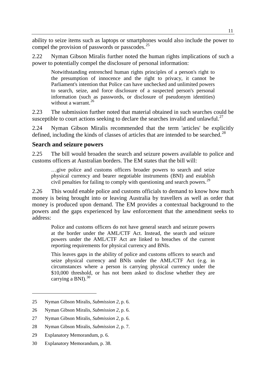ability to seize items such as laptops or smartphones would also include the power to compel the provision of passwords or passcodes.<sup>[25](#page-18-0)</sup>

2.22 Nyman Gibson Miralis further noted the human rights implications of such a power to potentially compel the disclosure of personal information:

Notwithstanding entrenched human rights principles of a person's right to the presumption of innocence and the right to privacy, it cannot be Parliament's intention that Police can have unchecked and unlimited powers to search, seize, and force disclosure of a suspected person's personal information (such as passwords, or disclosure of pseudonym identities) without a warrant.<sup>[26](#page-18-1)</sup>

2.23 The submission further noted that material obtained in such searches could be susceptible to court actions seeking to declare the searches invalid and unlawful.<sup>[27](#page-18-2)</sup>

2.24 Nyman Gibson Miralis recommended that the term 'articles' be explicitly defined, including the kinds of classes of articles that are intended to be searched.<sup>[28](#page-18-3)</sup>

#### **Search and seizure powers**

2.25 The bill would broaden the search and seizure powers available to police and customs officers at Australian borders. The EM states that the bill will:

…give police and customs officers broader powers to search and seize physical currency and bearer negotiable instruments (BNI) and establish civil penalties for failing to comply with questioning and search powers.<sup>[29](#page-18-4)</sup>

2.26 This would enable police and customs officials to demand to know how much money is being brought into or leaving Australia by travellers as well as order that money is produced upon demand. The EM provides a contextual background to the powers and the gaps experienced by law enforcement that the amendment seeks to address:

Police and customs officers do not have general search and seizure powers at the border under the AML/CTF Act. Instead, the search and seizure powers under the AML/CTF Act are linked to breaches of the current reporting requirements for physical currency and BNIs.

This leaves gaps in the ability of police and customs officers to search and seize physical currency and BNIs under the AML/CTF Act (e.g. in circumstances where a person is carrying physical currency under the \$10,000 threshold, or has not been asked to disclose whether they are carrying a BNI). $30$ 

<span id="page-18-0"></span><sup>25</sup> Nyman Gibson Miralis, *Submission 2*, p. 6.

<span id="page-18-1"></span><sup>26</sup> Nyman Gibson Miralis, *Submission 2*, p. 6.

<span id="page-18-2"></span><sup>27</sup> Nyman Gibson Miralis, *Submission 2*, p. 6.

<span id="page-18-3"></span><sup>28</sup> Nyman Gibson Miralis, *Submission 2*, p. 7.

<span id="page-18-4"></span><sup>29</sup> Explanatory Memorandum, p. 6.

<span id="page-18-5"></span><sup>30</sup> Explanatory Memorandum, p. 38.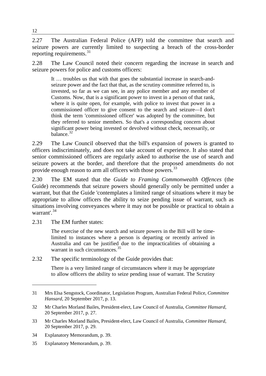2.27 The Australian Federal Police (AFP) told the committee that search and seizure powers are currently limited to suspecting a breach of the cross-border reporting requirements. $31$ 

2.28 The Law Council noted their concern regarding the increase in search and seizure powers for police and customs officers:

It … troubles us that with that goes the substantial increase in search-andseizure power and the fact that that, as the scrutiny committee referred to, is invested, so far as we can see, in any police member and any member of Customs. Now, that is a significant power to invest in a person of that rank, where it is quite open, for example, with police to invest that power in a commissioned officer to give consent to the search and seizure—I don't think the term 'commissioned officer' was adopted by the committee, but they referred to senior members. So that's a corresponding concern about significant power being invested or devolved without check, necessarily, or balance.[32](#page-19-1)

2.29 The Law Council observed that the bill's expansion of powers is granted to officers indiscriminately, and does not take account of experience. It also stated that senior commissioned officers are regularly asked to authorise the use of search and seizure powers at the border, and therefore that the proposed amendments do not provide enough reason to arm all officers with those powers.<sup>[33](#page-19-2)</sup>

2.30 The EM stated that the *Guide to Framing Commonwealth Offences* (the Guide) recommends that seizure powers should generally only be permitted under a warrant, but that the Guide 'contemplates a limited range of situations where it may be appropriate to allow officers the ability to seize pending issue of warrant, such as situations involving conveyances where it may not be possible or practical to obtain a warrant'. [34](#page-19-3)

2.31 The EM further states:

-

The exercise of the new search and seizure powers in the Bill will be timelimited to instances where a person is departing or recently arrived in Australia and can be justified due to the impracticalities of obtaining a warrant in such circumstances.<sup>[35](#page-19-4)</sup>

2.32 The specific terminology of the Guide provides that:

There is a very limited range of circumstances where it may be appropriate to allow officers the ability to seize pending issue of warrant. The Scrutiny

<span id="page-19-0"></span><sup>31</sup> Mrs Elsa Sengstock, Coordinator, Legislation Program, Australian Federal Police, *Committee Hansard*, 20 September 2017, p. 13.

<span id="page-19-1"></span><sup>32</sup> Mr Charles Morland Bailes, President-elect, Law Council of Australia, *Committee Hansard*, 20 September 2017, p. 27.

<span id="page-19-2"></span><sup>33</sup> Mr Charles Morland Bailes, President-elect, Law Council of Australia, *Committee Hansard*, 20 September 2017, p. 29.

<span id="page-19-3"></span><sup>34</sup> Explanatory Memorandum, p. 39.

<span id="page-19-4"></span><sup>35</sup> Explanatory Memorandum, p. 39.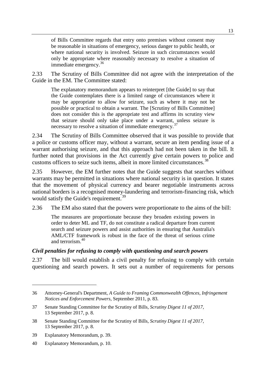of Bills Committee regards that entry onto premises without consent may be reasonable in situations of emergency, serious danger to public health, or where national security is involved. Seizure in such circumstances would only be appropriate where reasonably necessary to resolve a situation of immediate emergency.  $36$ 

2.33 The Scrutiny of Bills Committee did not agree with the interpretation of the Guide in the EM. The Committee stated:

The explanatory memorandum appears to reinterpret [the Guide] to say that the Guide contemplates there is a limited range of circumstances where it may be appropriate to allow for seizure, such as where it may not be possible or practical to obtain a warrant. The [Scrutiny of Bills Committee] does not consider this is the appropriate test and affirms its scrutiny view that seizure should only take place under a warrant, unless seizure is necessary to resolve a situation of immediate emergency.<sup>[37](#page-20-1)</sup>

2.34 The Scrutiny of Bills Committee observed that it was possible to provide that a police or customs officer may, without a warrant, secure an item pending issue of a warrant authorising seizure, and that this approach had not been taken in the bill. It further noted that provisions in the Act currently give certain powers to police and customs officers to seize such items, albeit in more limited circumstances.<sup>[38](#page-20-2)</sup>

2.35 However, the EM further notes that the Guide suggests that searches without warrants may be permitted in situations where national security is in question. It states that the movement of physical currency and bearer negotiable instruments across national borders is a recognised money-laundering and terrorism-financing risk, which would satisfy the Guide's requirement.<sup>[39](#page-20-3)</sup>

2.36 The EM also stated that the powers were proportionate to the aims of the bill:

The measures are proportionate because they broaden existing powers in order to deter ML and TF, do not constitute a radical departure from current search and seizure powers and assist authorities in ensuring that Australia's AML/CTF framework is robust in the face of the threat of serious crime and terrorism.[40](#page-20-4)

#### *Civil penalties for refusing to comply with questioning and search powers*

2.37 The bill would establish a civil penalty for refusing to comply with certain questioning and search powers. It sets out a number of requirements for persons

<span id="page-20-0"></span><sup>36</sup> Attorney-General's Department, *A Guide to Framing Commonwealth Offences, Infringement Notices and Enforcement Powers*, September 2011, p. 83.

<span id="page-20-1"></span><sup>37</sup> Senate Standing Committee for the Scrutiny of Bills, *Scrutiny Digest 11 of 2017*, 13 September 2017, p. 8.

<span id="page-20-2"></span><sup>38</sup> Senate Standing Committee for the Scrutiny of Bills, *Scrutiny Digest 11 of 2017*, 13 September 2017, p. 8.

<span id="page-20-3"></span><sup>39</sup> Explanatory Memorandum, p. 39.

<span id="page-20-4"></span><sup>40</sup> Explanatory Memorandum, p. 10.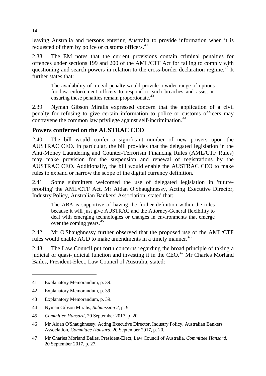leaving Australia and persons entering Australia to provide information when it is requested of them by police or customs officers.<sup>[41](#page-21-0)</sup>

2.38 The EM notes that the current provisions contain criminal penalties for offences under sections 199 and 200 of the AML/CTF Act for failing to comply with questioning and search powers in relation to the cross-border declaration regime.<sup>[42](#page-21-1)</sup> It further states that:

The availability of a civil penalty would provide a wider range of options for law enforcement officers to respond to such breaches and assist in ensuring these penalties remain proportionate.<sup>[43](#page-21-2)</sup>

2.39 Nyman Gibson Miralis expressed concern that the application of a civil penalty for refusing to give certain information to police or customs officers may contravene the common law privilege against self-incrimination.<sup>[44](#page-21-3)</sup>

#### **Powers conferred on the AUSTRAC CEO**

2.40 The bill would confer a significant number of new powers upon the AUSTRAC CEO. In particular, the bill provides that the delegated legislation in the Anti-Money Laundering and Counter-Terrorism Financing Rules (AML/CTF Rules) may make provision for the suspension and renewal of registrations by the AUSTRAC CEO. Additionally, the bill would enable the AUSTRAC CEO to make rules to expand or narrow the scope of the digital currency definition.

2.41 Some submitters welcomed the use of delegated legislation in 'futureproofing' the AML/CTF Act. Mr Aidan O'Shaughnessy, Acting Executive Director, Industry Policy, Australian Bankers' Association, stated that:

The ABA is supportive of having the further definition within the rules because it will just give AUSTRAC and the Attorney-General flexibility to deal with emerging technologies or changes in environments that emerge over the coming years.<sup>[45](#page-21-4)</sup>

2.42 Mr O'Shaughnessy further observed that the proposed use of the AML/CTF rules would enable AGD to make amendments in a timely manner.<sup>[46](#page-21-5)</sup>

2.43 The Law Council put forth concerns regarding the broad principle of taking a judicial or quasi-judicial function and investing it in the CEO.<sup>[47](#page-21-6)</sup> Mr Charles Morland Bailes, President-Elect, Law Council of Australia, stated:

<span id="page-21-0"></span><sup>41</sup> Explanatory Memorandum, p. 39.

<span id="page-21-1"></span><sup>42</sup> Explanatory Memorandum, p. 39.

<span id="page-21-2"></span><sup>43</sup> Explanatory Memorandum, p. 39.

<span id="page-21-3"></span><sup>44</sup> Nyman Gibson Miralis, *Submission 2*, p. 9.

<span id="page-21-4"></span><sup>45</sup> *Committee Hansard*, 20 September 2017, p. 20.

<span id="page-21-5"></span><sup>46</sup> Mr Aidan O'Shaughnessy, Acting Executive Director, Industry Policy, Australian Bankers' Association, *Committee Hansard*, 20 September 2017, p. 20.

<span id="page-21-6"></span><sup>47</sup> Mr Charles Morland Bailes, President-Elect, Law Council of Australia, *Committee Hansard*, 20 September 2017, p. 27.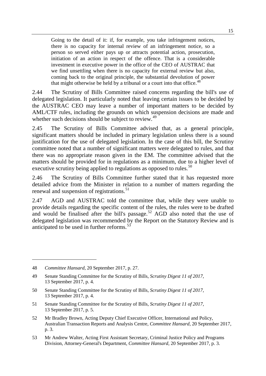Going to the detail of it: if, for example, you take infringement notices, there is no capacity for internal review of an infringement notice, so a person so served either pays up or attracts potential action, prosecution, initiation of an action in respect of the offence. That is a considerable investment in executive power in the office of the CEO of AUSTRAC that we find unsettling when there is no capacity for external review but also, coming back to the original principle, the substantial devolution of power that might otherwise be held by a tribunal or a court into that office.<sup>[48](#page-22-0)</sup>

2.44 The Scrutiny of Bills Committee raised concerns regarding the bill's use of delegated legislation. It particularly noted that leaving certain issues to be decided by the AUSTRAC CEO may leave a number of important matters to be decided by AML/CTF rules, including the grounds on which suspension decisions are made and whether such decisions should be subject to review.<sup>[49](#page-22-1)</sup>

2.45 The Scrutiny of Bills Committee advised that, as a general principle, significant matters should be included in primary legislation unless there is a sound justification for the use of delegated legislation. In the case of this bill, the Scrutiny committee noted that a number of significant matters were delegated to rules, and that there was no appropriate reason given in the EM. The committee advised that the matters should be provided for in regulations as a minimum, due to a higher level of executive scrutiny being applied to regulations as opposed to rules.<sup>[50](#page-22-2)</sup>

2.46 The Scrutiny of Bills Committee further stated that it has requested more detailed advice from the Minister in relation to a number of matters regarding the renewal and suspension of registrations.<sup>[51](#page-22-3)</sup>

2.47 AGD and AUSTRAC told the committee that, while they were unable to provide details regarding the specific content of the rules, the rules were to be drafted and would be finalised after the bill's passage.<sup>[52](#page-22-4)</sup> AGD also noted that the use of delegated legislation was recommended by the Report on the Statutory Review and is anticipated to be used in further reforms.<sup>[53](#page-22-5)</sup>

<span id="page-22-0"></span><sup>48</sup> *Committee Hansard*, 20 September 2017, p. 27.

<span id="page-22-1"></span><sup>49</sup> Senate Standing Committee for the Scrutiny of Bills, *Scrutiny Digest 11 of 2017*, 13 September 2017, p. 4.

<span id="page-22-2"></span><sup>50</sup> Senate Standing Committee for the Scrutiny of Bills, *Scrutiny Digest 11 of 2017*, 13 September 2017, p. 4.

<span id="page-22-3"></span><sup>51</sup> Senate Standing Committee for the Scrutiny of Bills, *Scrutiny Digest 11 of 2017*, 13 September 2017, p. 5.

<span id="page-22-4"></span><sup>52</sup> Mr Bradley Brown, Acting Deputy Chief Executive Officer, International and Policy, Australian Transaction Reports and Analysis Centre, *Committee Hansard*, 20 September 2017, p. 3.

<span id="page-22-5"></span><sup>53</sup> Mr Andrew Walter, Acting First Assistant Secretary, Criminal Justice Policy and Programs Division, Attorney-General's Department, *Committee Hansard*, 20 September 2017, p. 3.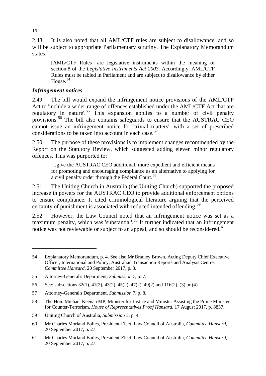2.48 It is also noted that all AML/CTF rules are subject to disallowance, and so will be subject to appropriate Parliamentary scrutiny. The Explanatory Memorandum states:

[AML/CTF Rules] are legislative instruments within the meaning of section 8 of the *Legislative Instruments Act 2003*. Accordingly, AML/CTF Rules must be tabled in Parliament and are subject to disallowance by either House.<sup>[54](#page-23-0)</sup>

#### *Infringement notices*

2.49 The bill would expand the infringement notice provisions of the AML/CTF Act to 'include a wider range of offences established under the AML/CTF Act that are regulatory in nature'.<sup>[55](#page-23-1)</sup> This expansion applies to a number of civil penalty provisions.[56](#page-23-2) The bill also contains safeguards to ensure that the AUSTRAC CEO cannot issue an infringement notice for 'trivial matters', with a set of prescribed considerations to be taken into account in each case.<sup>[57](#page-23-3)</sup>

2.50 The purpose of these provisions is to implement changes recommended by the Report on the Statutory Review, which suggested adding eleven minor regulatory offences. This was purported to:

…give the AUSTRAC CEO additional, more expedient and efficient means for promoting and encouraging compliance as an alternative to applying for a civil penalty order through the Federal Court.<sup>[58](#page-23-4)</sup>

2.51 The Uniting Church in Australia (the Uniting Church) supported the proposed increase in powers for the AUSTRAC CEO to provide additional enforcement options to ensure compliance. It cited criminological literature arguing that the perceived certainty of punishment is associated with reduced intended offending.<sup>[59](#page-23-5)</sup>

2.52 However, the Law Council noted that an infringement notice was set as a maximum penalty, which was 'substantial'.<sup>[60](#page-23-6)</sup> It further indicated that an infringement notice was not reviewable or subject to an appeal, and so should be reconsidered.<sup>[61](#page-23-7)</sup>

<span id="page-23-4"></span>58 The Hon. Michael Keenan MP, Minister for Justice and Minister Assisting the Prime Minister for Counter-Terrorism, *House of Representatives Proof Hansard*, 17 August 2017, p. 8837.

<span id="page-23-0"></span><sup>54</sup> Explanatory Memorandum, p. 4. See also Mr Bradley Brown, Acting Deputy Chief Executive Officer, International and Policy, Australian Transaction Reports and Analysis Centre, *Committee Hansard*, 20 September 2017, p. 3.

<span id="page-23-1"></span><sup>55</sup> Attorney-General's Department, *Submission 7*, p. 7.

<span id="page-23-2"></span><sup>56</sup> See: subsections 32(1), 41(2), 43(2), 45(2), 47(2), 49(2) and 116(2), (3) or (4).

<span id="page-23-3"></span><sup>57</sup> Attorney-General's Department, *Submission 7*, p. 8.

<span id="page-23-5"></span><sup>59</sup> Uniting Church of Australia*, Submission 3*, p. 4.

<span id="page-23-6"></span><sup>60</sup> Mr Charles Morland Bailes, President-Elect, Law Council of Australia, *Committee Hansard*, 20 September 2017, p. 27.

<span id="page-23-7"></span><sup>61</sup> Mr Charles Morland Bailes, President-Elect, Law Council of Australia, *Committee Hansard*, 20 September 2017, p. 27.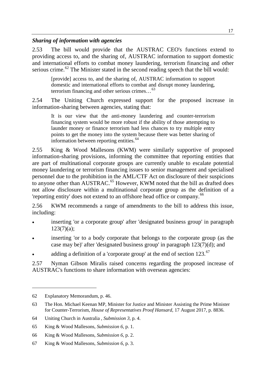#### *Sharing of information with agencies*

2.53 The bill would provide that the AUSTRAC CEO's functions extend to providing access to, and the sharing of, AUSTRAC information to support domestic and international efforts to combat money laundering, terrorism financing and other serious crime.<sup>[62](#page-24-0)</sup> The Minister stated in the second reading speech that the bill would:

[provide] access to, and the sharing of, AUSTRAC information to support domestic and international efforts to combat and disrupt money laundering, terrorism financing and other serious crimes…[63](#page-24-1)

2.54 The Uniting Church expressed support for the proposed increase in information-sharing between agencies, stating that:

It is our view that the anti-money laundering and counter-terrorism financing system would be more robust if the ability of those attempting to launder money or finance terrorism had less chances to try multiple entry points to get the money into the system because there was better sharing of information between reporting entities.<sup>[64](#page-24-2)</sup>

2.55 King & Wood Mallesons (KWM) were similarly supportive of proposed information-sharing provisions, informing the committee that reporting entities that are part of multinational corporate groups are currently unable to escalate potential money laundering or terrorism financing issues to senior management and specialised personnel due to the prohibition in the AML/CTF Act on disclosure of their suspicions to anyone other than AUSTRAC.<sup>[65](#page-24-3)</sup> However, KWM noted that the bill as drafted does not allow disclosure within a multinational corporate group as the definition of a 'reporting entity' does not extend to an offshore head office or company.<sup>[66](#page-24-4)</sup>

2.56 KWM recommends a range of amendments to the bill to address this issue, including:

- inserting 'or a corporate group' after 'designated business group' in paragraph 123(7)(a);
- inserting 'or to a body corporate that belongs to the corporate group (as the case may be)' after 'designated business group' in paragraph 123(7)(d); and
- adding a definition of a 'corporate group' at the end of section  $123$ .<sup>[67](#page-24-5)</sup>

2.57 Nyman Gibson Miralis raised concerns regarding the proposed increase of AUSTRAC's functions to share information with overseas agencies:

<span id="page-24-0"></span><sup>62</sup> Explanatory Memorandum, p. 46.

<span id="page-24-1"></span><sup>63</sup> The Hon. Michael Keenan MP, Minister for Justice and Minister Assisting the Prime Minister for Counter-Terrorism, *House of Representatives Proof Hansard*, 17 August 2017, p. 8836.

<span id="page-24-2"></span><sup>64</sup> Uniting Church in Australia , *Submission 3*, p. 4.

<span id="page-24-3"></span><sup>65</sup> King & Wood Mallesons, *Submission 6*, p. 1.

<span id="page-24-4"></span><sup>66</sup> King & Wood Mallesons, *Submission 6*, p. 2.

<span id="page-24-5"></span><sup>67</sup> King & Wood Mallesons, *Submission 6*, p. 3.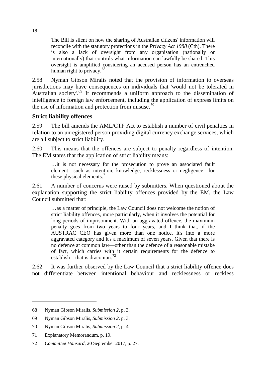The Bill is silent on how the sharing of Australian citizens' information will reconcile with the statutory protections in the *Privacy Act 1988* (Cth). There is also a lack of oversight from any organisation (nationally or internationally) that controls what information can lawfully be shared. This oversight is amplified considering an accused person has an entrenched human right to privacy. $68$ 

2.58 Nyman Gibson Miralis noted that the provision of information to overseas jurisdictions may have consequences on individuals that 'would not be tolerated in Australian society'.<sup>[69](#page-25-1)</sup> It recommends a uniform approach to the dissemination of intelligence to foreign law enforcement, including the application of express limits on the use of information and protection from misuse.<sup>[70](#page-25-2)</sup>

#### **Strict liability offences**

2.59 The bill amends the AML/CTF Act to establish a number of civil penalties in relation to an unregistered person providing digital currency exchange services, which are all subject to strict liability.

2.60 This means that the offences are subject to penalty regardless of intention. The EM states that the application of strict liability means:

…it is not necessary for the prosecution to prove an associated fault element—such as intention, knowledge, recklessness or negligence—for these physical elements. $^{71}$  $^{71}$  $^{71}$ 

2.61 A number of concerns were raised by submitters. When questioned about the explanation supporting the strict liability offences provided by the EM, the Law Council submitted that:

…as a matter of principle, the Law Council does not welcome the notion of strict liability offences, more particularly, when it involves the potential for long periods of imprisonment. With an aggravated offence, the maximum penalty goes from two years to four years, and I think that, if the AUSTRAC CEO has given more than one notice, it's into a more aggravated category and it's a maximum of seven years. Given that there is no defence at common law—other than the defence of a reasonable mistake of fact, which carries with it certain requirements for the defence to establish—that is draconian.<sup>[72](#page-25-4)</sup>

2.62 It was further observed by the Law Council that a strict liability offence does not differentiate between intentional behaviour and recklessness or reckless

<span id="page-25-0"></span><sup>68</sup> Nyman Gibson Miralis, *Submission 2*, p. 3.

<span id="page-25-1"></span><sup>69</sup> Nyman Gibson Miralis, *Submission 2*, p. 3.

<span id="page-25-2"></span><sup>70</sup> Nyman Gibson Miralis, *Submission 2*, p. 4.

<span id="page-25-3"></span><sup>71</sup> Explanatory Memorandum, p. 19.

<span id="page-25-4"></span><sup>72</sup> *Committee Hansard*, 20 September 2017, p. 27.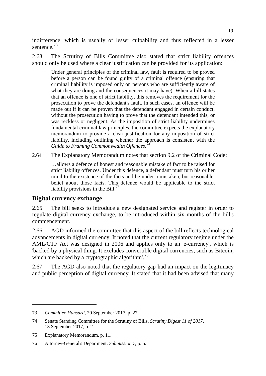indifference, which is usually of lesser culpability and thus reflected in a lesser sentence.<sup>[73](#page-26-0)</sup>

2.63 The Scrutiny of Bills Committee also stated that strict liability offences should only be used where a clear justification can be provided for its application:

Under general principles of the criminal law, fault is required to be proved before a person can be found guilty of a criminal offence (ensuring that criminal liability is imposed only on persons who are sufficiently aware of what they are doing and the consequences it may have). When a bill states that an offence is one of strict liability, this removes the requirement for the prosecution to prove the defendant's fault. In such cases, an offence will be made out if it can be proven that the defendant engaged in certain conduct, without the prosecution having to prove that the defendant intended this, or was reckless or negligent. As the imposition of strict liability undermines fundamental criminal law principles, the committee expects the explanatory memorandum to provide a clear justification for any imposition of strict liability, including outlining whether the approach is consistent with the *Guide to Framing Commonwealth Offences*. [74](#page-26-1)

2.64 The Explanatory Memorandum notes that section 9.2 of the Criminal Code:

…allows a defence of honest and reasonable mistake of fact to be raised for strict liability offences. Under this defence, a defendant must turn his or her mind to the existence of the facts and be under a mistaken, but reasonable, belief about those facts. This defence would be applicable to the strict liability provisions in the Bill.<sup>[75](#page-26-2)</sup>

#### **Digital currency exchange**

2.65 The bill seeks to introduce a new designated service and register in order to regulate digital currency exchange, to be introduced within six months of the bill's commencement.

2.66 AGD informed the committee that this aspect of the bill reflects technological advancements in digital currency. It noted that the current regulatory regime under the AML/CTF Act was designed in 2006 and applies only to an 'e-currency', which is 'backed by a physical thing. It excludes convertible digital currencies, such as Bitcoin, which are backed by a cryptographic algorithm'.<sup>[76](#page-26-3)</sup>

2.67 The AGD also noted that the regulatory gap had an impact on the legitimacy and public perception of digital currency. It stated that it had been advised that many

<span id="page-26-0"></span><sup>73</sup> *Committee Hansard*, 20 September 2017, p. 27.

<span id="page-26-1"></span><sup>74</sup> Senate Standing Committee for the Scrutiny of Bills, *Scrutiny Digest 11 of 2017*, 13 September 2017, p. 2.

<span id="page-26-2"></span><sup>75</sup> Explanatory Memorandum, p. 11.

<span id="page-26-3"></span><sup>76</sup> Attorney-General's Department, *Submission 7*, p. 5.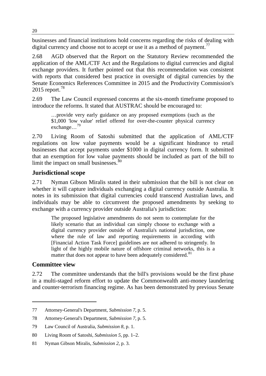businesses and financial institutions hold concerns regarding the risks of dealing with digital currency and choose not to accept or use it as a method of payment.<sup>[77](#page-27-0)</sup>

2.68 AGD observed that the Report on the Statutory Review recommended the application of the AML/CTF Act and the Regulations to digital currencies and digital exchange providers. It further pointed out that this recommendation was consistent with reports that considered best practice in oversight of digital currencies by the Senate Economics References Committee in 2015 and the Productivity Commission's  $2015$  report.<sup>[78](#page-27-1)</sup>

2.69 The Law Council expressed concerns at the six-month timeframe proposed to introduce the reforms. It stated that AUSTRAC should be encouraged to:

…provide very early guidance on any proposed exemptions (such as the \$1,000 'low value' relief offered for over-the-counter physical currency exchange…[79](#page-27-2)

2.70 Living Room of Satoshi submitted that the application of AML/CTF regulations on low value payments would be a significant hindrance to retail businesses that accept payments under \$1000 in digital currency form. It submitted that an exemption for low value payments should be included as part of the bill to limit the impact on small businesses.<sup>[80](#page-27-3)</sup>

#### **Jurisdictional scope**

2.71 Nyman Gibson Miralis stated in their submission that the bill is not clear on whether it will capture individuals exchanging a digital currency outside Australia. It notes in its submission that digital currencies could transcend Australian laws, and individuals may be able to circumvent the proposed amendments by seeking to exchange with a currency provider outside Australia's jurisdiction:

The proposed legislative amendments do not seem to contemplate for the likely scenario that an individual can simply choose to exchange with a digital currency provider outside of Australia's national jurisdiction, one where the rule of law and reporting requirements in according with [Financial Action Task Force] guidelines are not adhered to stringently. In light of the highly mobile nature of offshore criminal networks, this is a matter that does not appear to have been adequately considered.<sup>[81](#page-27-4)</sup>

#### **Committee view**

-

2.72 The committee understands that the bill's provisions would be the first phase in a multi-staged reform effort to update the Commonwealth anti-money laundering and counter-terrorism financing regime. As has been demonstrated by previous Senate

<span id="page-27-0"></span><sup>77</sup> Attorney-General's Department, *Submission 7*, p. 5.

<span id="page-27-1"></span><sup>78</sup> Attorney-General's Department, *Submission 7*, p. 5.

<span id="page-27-2"></span><sup>79</sup> Law Council of Australia, *Submission 8*, p. 1.

<span id="page-27-3"></span><sup>80</sup> Living Room of Satoshi, *Submission 5*, pp. 1–2.

<span id="page-27-4"></span><sup>81</sup> Nyman Gibson Miralis, *Submission 2*, p. 3.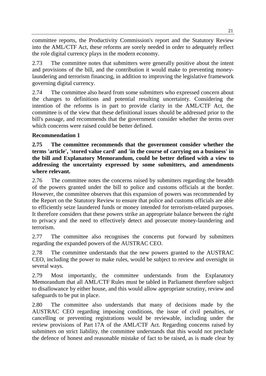committee reports, the Productivity Commission's report and the Statutory Review into the AML/CTF Act, these reforms are sorely needed in order to adequately reflect the role digital currency plays in the modern economy.

2.73 The committee notes that submitters were generally positive about the intent and provisions of the bill, and the contribution it would make to preventing moneylaundering and terrorism financing, in addition to improving the legislative framework governing digital currency.

2.74 The committee also heard from some submitters who expressed concern about the changes to definitions and potential resulting uncertainty. Considering the intention of the reforms is in part to provide clarity in the AML/CTF Act, the committee is of the view that these definitional issues should be addressed prior to the bill's passage, and recommends that the government consider whether the terms over which concerns were raised could be better defined.

#### **Recommendation 1**

**2.75 The committee recommends that the government consider whether the terms 'article', 'stored value card' and 'in the course of carrying on a business' in the bill and Explanatory Memorandum, could be better defined with a view to addressing the uncertainty expressed by some submitters, and amendments where relevant.**

2.76 The committee notes the concerns raised by submitters regarding the breadth of the powers granted under the bill to police and customs officials at the border. However, the committee observes that this expansion of powers was recommended by the Report on the Statutory Review to ensure that police and customs officials are able to efficiently seize laundered funds or money intended for terrorism-related purposes. It therefore considers that these powers strike an appropriate balance between the right to privacy and the need to effectively detect and prosecute money-laundering and terrorism.

2.77 The committee also recognises the concerns put forward by submitters regarding the expanded powers of the AUSTRAC CEO.

2.78 The committee understands that the new powers granted to the AUSTRAC CEO, including the power to make rules, would be subject to review and oversight in several ways.

2.79 Most importantly, the committee understands from the Explanatory Memorandum that all AML/CTF Rules must be tabled in Parliament therefore subject to disallowance by either house, and this would allow appropriate scrutiny, review and safeguards to be put in place.

2.80 The committee also understands that many of decisions made by the AUSTRAC CEO regarding imposing conditions, the issue of civil penalties, or cancelling or preventing registrations would be reviewable, including under the review provisions of Part 17A of the AML/CTF Act. Regarding concerns raised by submitters on strict liability, the committee understands that this would not preclude the defence of honest and reasonable mistake of fact to be raised, as is made clear by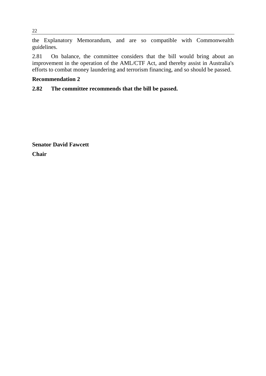the Explanatory Memorandum, and are so compatible with Commonwealth guidelines.

2.81 On balance, the committee considers that the bill would bring about an improvement in the operation of the AML/CTF Act, and thereby assist in Australia's efforts to combat money laundering and terrorism financing, and so should be passed.

#### **Recommendation 2**

#### **2.82 The committee recommends that the bill be passed.**

**Senator David Fawcett Chair**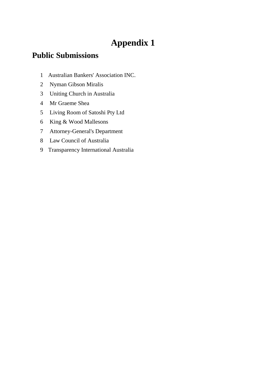## **Appendix 1**

### **Public Submissions**

- Australian Bankers' Association INC.
- Nyman Gibson Miralis
- Uniting Church in Australia
- Mr Graeme Shea
- Living Room of Satoshi Pty Ltd
- King & Wood Mallesons
- Attorney-General's Department
- Law Council of Australia
- Transparency International Australia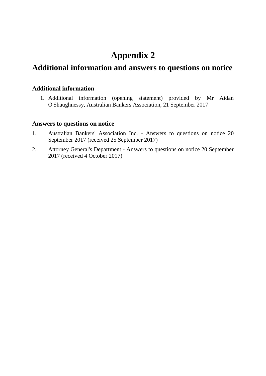## **Appendix 2**

### **Additional information and answers to questions on notice**

#### **Additional information**

1. Additional information (opening statement) provided by Mr Aidan O'Shaughnessy, Australian Bankers Association, 21 September 2017

#### **Answers to questions on notice**

- 1. Australian Bankers' Association Inc. Answers to questions on notice 20 September 2017 (received 25 September 2017)
- 2. Attorney General's Department Answers to questions on notice 20 September 2017 (received 4 October 2017)